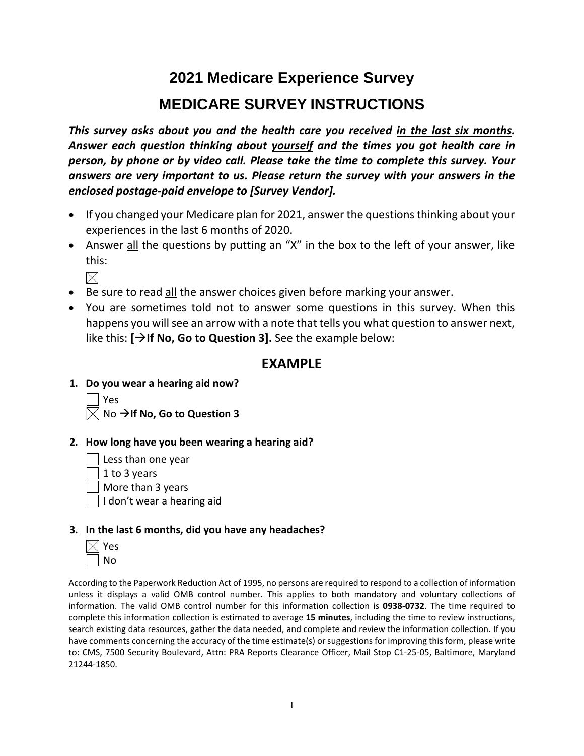# **2021 Medicare Experience Survey MEDICARE SURVEY INSTRUCTIONS**

*This survey asks about you and the health care you received in the last six months. Answer each question thinking about yourself and the times you got health care in person, by phone or by video call. Please take the time to complete this survey. Your answers are very important to us. Please return the survey with your answers in the enclosed postage-paid envelope to [Survey Vendor].*

- If you changed your Medicare plan for 2021, answer the questions thinking about your experiences in the last 6 months of 2020.
- Answer all the questions by putting an "X" in the box to the left of your answer, like this:

 $\times$ 

- Be sure to read all the answer choices given before marking your answer.
- You are sometimes told not to answer some questions in this survey. When this happens you willsee an arrow with a note that tells you what question to answer next, like this: **[If No, Go to Question 3].** See the example below:

# **EXAMPLE**

**1. Do you wear a hearing aid now?**



## **2. How long have you been wearing a hearing aid?**

Less than one year

1 to 3 years

More than 3 years

I don't wear a hearing aid

## **3. In the last 6 months, did you have any headaches?**

|                          | Ξ        |
|--------------------------|----------|
| $\overline{\phantom{a}}$ | ۱ŀ<br>٠٦ |

According to the Paperwork Reduction Act of 1995, no persons are required to respond to a collection of information unless it displays a valid OMB control number. This applies to both mandatory and voluntary collections of information. The valid OMB control number for this information collection is **0938-0732**. The time required to complete this information collection is estimated to average **15 minutes**, including the time to review instructions, search existing data resources, gather the data needed, and complete and review the information collection. If you have comments concerning the accuracy of the time estimate(s) or suggestions for improving this form, please write to: CMS, 7500 Security Boulevard, Attn: PRA Reports Clearance Officer, Mail Stop C1-25-05, Baltimore, Maryland 21244-1850.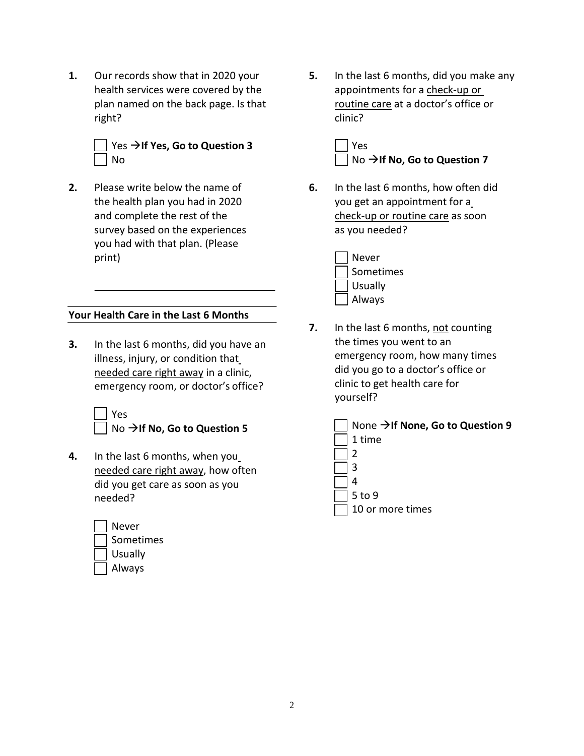**1.** Our records show that in 2020 your health services were covered by the plan named on the back page. Is that right?



**2.** Please write below the name of the health plan you had in 2020 and complete the rest of the survey based on the experiences you had with that plan. (Please print)

## **Your Health Care in the Last 6 Months**

**3.** In the last 6 months, did you have an illness, injury, or condition that needed care right away in a clinic, emergency room, or doctor's office?

Yes

- No  $\rightarrow$  If No, Go to Question 5
- **4.** In the last 6 months, when you needed care right away, how often did you get care as soon as you needed?



**5.** In the last 6 months, did you make any appointments for a check-up or routine care at a doctor's office or clinic?

> Yes No →If **No, Go to Question 7**

- **6.** In the last 6 months, how often did you get an appointment for a check-up or routine care as soon as you needed?
	- Never Sometimes Usually Always
- **7.** In the last 6 months, not counting the times you went to an emergency room, how many times did you go to a doctor's office or clinic to get health care for yourself?

| None $\rightarrow$ If None, Go to Question 9 |
|----------------------------------------------|
| 1 time                                       |
|                                              |
|                                              |
|                                              |
| 5 to 9                                       |
| 10 or more times                             |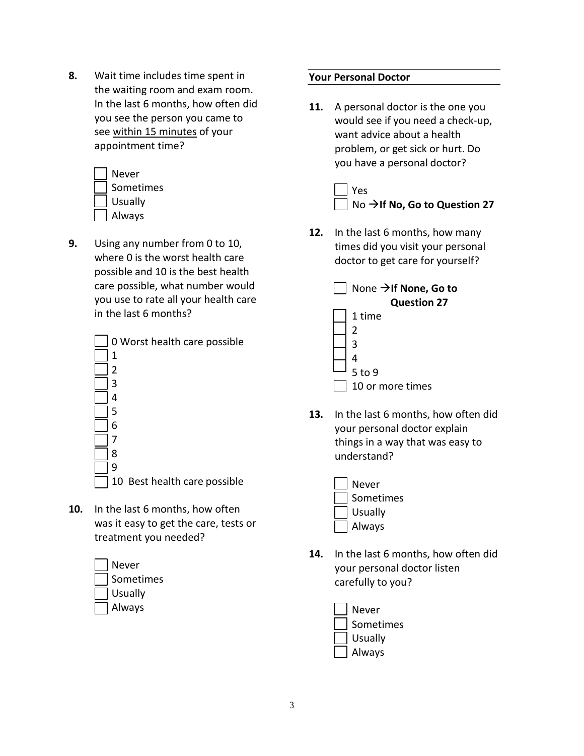**8.** Wait time includes time spent in the waiting room and exam room. In the last 6 months, how often did you see the person you came to see within 15 minutes of your appointment time?



**9.** Using any number from 0 to 10, where 0 is the worst health care possible and 10 is the best health care possible, what number would you use to rate all your health care in the last 6 months?



**10.** In the last 6 months, how often was it easy to get the care, tests or treatment you needed?

| Never          |
|----------------|
| Sometimes      |
| <b>Usually</b> |
| Always         |

## **Your Personal Doctor**

**11.** A personal doctor is the one you would see if you need a check-up, want advice about a health problem, or get sick or hurt. Do you have a personal doctor?



**12.** In the last 6 months, how many times did you visit your personal doctor to get care for yourself?

| None $\rightarrow$ If None, Go to |
|-----------------------------------|
| <b>Question 27</b>                |
| 1 time                            |
| 2                                 |
| ς                                 |
|                                   |
| 5 to 9                            |
| 10 or more times                  |

- **13.** In the last 6 months, how often did your personal doctor explain things in a way that was easy to understand?
	- Never Sometimes Usually Always
- **14.** In the last 6 months, how often did your personal doctor listen carefully to you?
	- Sometimes Usually Always Never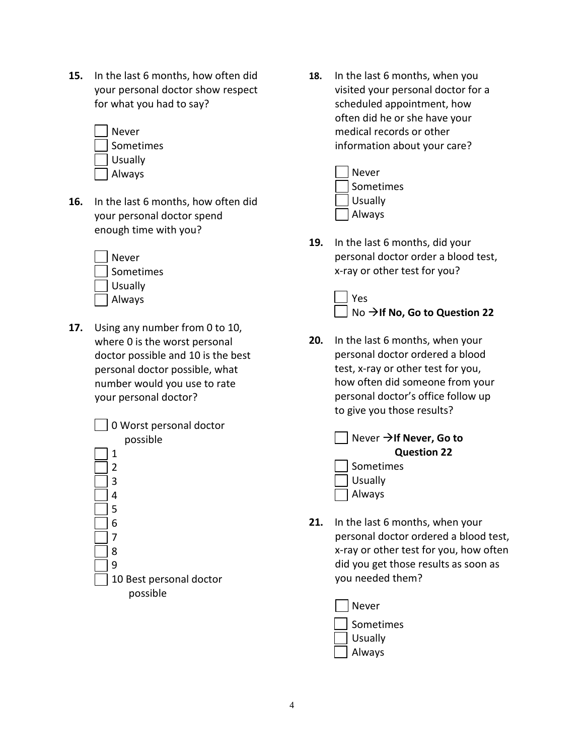**15.** In the last 6 months, how often did your personal doctor show respect for what you had to say?

| <b>Never</b> |
|--------------|
| Sometimes    |
| Usually      |
| Always       |

**16.** In the last 6 months, how often did your personal doctor spend enough time with you?



**17.** Using any number from 0 to 10, where 0 is the worst personal doctor possible and 10 is the best personal doctor possible, what number would you use to rate your personal doctor?



**18.** In the last 6 months, when you visited your personal doctor for a scheduled appointment, how often did he or she have your medical records or other information about your care?



**19.** In the last 6 months, did your personal doctor order a blood test, x-ray or other test for you?

# Yes No →If No, Go to Question 22

- **20.** In the last 6 months, when your personal doctor ordered a blood test, x-ray or other test for you, how often did someone from your personal doctor's office follow up to give you those results?
	- Never **If Never, Go to Question 22** Sometimes Usually Always
- **21.** In the last 6 months, when your personal doctor ordered a blood test, x-ray or other test for you, how often did you get those results as soon as you needed them?
	- Sometimes Usually Always Never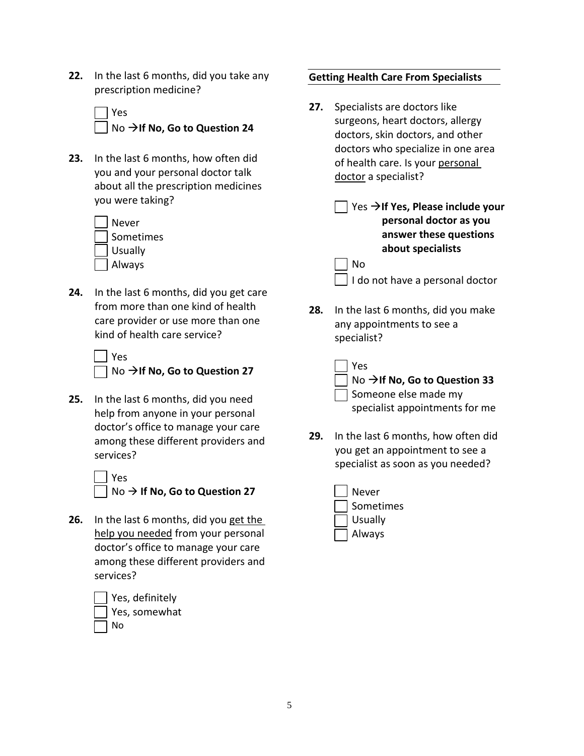- **22.** In the last 6 months, did you take any prescription medicine?
	- Yes No  $\rightarrow$  If No, Go to Question 24
- **23.** In the last 6 months, how often did you and your personal doctor talk about all the prescription medicines you were taking?

| Never          |
|----------------|
| Sometimes      |
| <b>Usually</b> |
| Always         |

**24.** In the last 6 months, did you get care from more than one kind of health care provider or use more than one kind of health care service?

| Yes                                              |
|--------------------------------------------------|
| $\Box$ No $\rightarrow$ If No, Go to Question 27 |

**25.** In the last 6 months, did you need help from anyone in your personal doctor's office to manage your care among these different providers and services?

| Yes                                              |
|--------------------------------------------------|
| $\Box$ No $\rightarrow$ If No, Go to Question 27 |

**26.** In the last 6 months, did you get the help you needed from your personal doctor's office to manage your care among these different providers and services?



No

## **Getting Health Care From Specialists**

- **27.** Specialists are doctors like surgeons, heart doctors, allergy doctors, skin doctors, and other doctors who specialize in one area of health care. Is your personal doctor a specialist?
	- Yes **If Yes, Please include your personal doctor as you answer these questions about specialists** No

I do not have a personal doctor

- **28.** In the last 6 months, did you make any appointments to see a specialist?
	- Yes No →If No, Go to Question 33 Someone else made my specialist appointments for me
- **29.** In the last 6 months, how often did you get an appointment to see a specialist as soon as you needed?
	- Never Sometimes Usually Always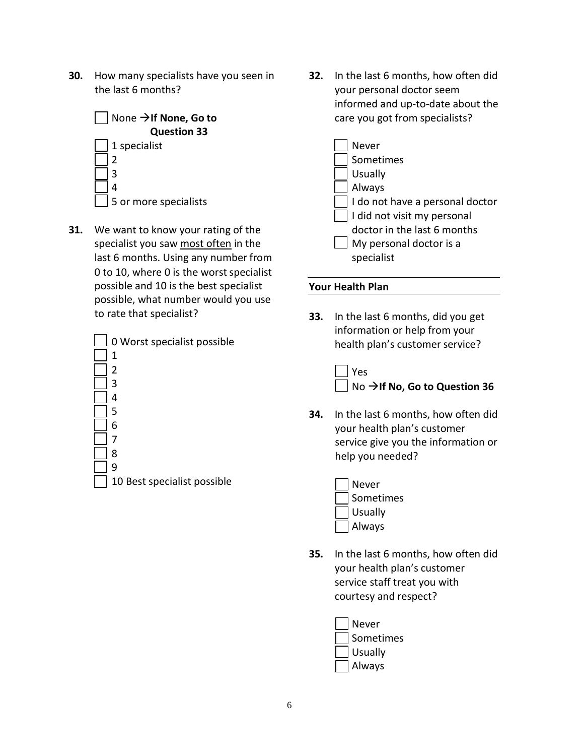**30.** How many specialists have you seen in the last 6 months?



**31.** We want to know your rating of the specialist you saw most often in the last 6 months. Using any number from 0 to 10, where 0 is the worst specialist possible and 10 is the best specialist possible, what number would you use to rate that specialist?



**32.** In the last 6 months, how often did your personal doctor seem informed and up-to-date about the care you got from specialists?



## **Your Health Plan**

**33.** In the last 6 months, did you get information or help from your health plan's customer service?



- **34.** In the last 6 months, how often did your health plan's customer service give you the information or help you needed?
	- Never Sometimes Usually Always
- **35.** In the last 6 months, how often did your health plan's customer service staff treat you with courtesy and respect?

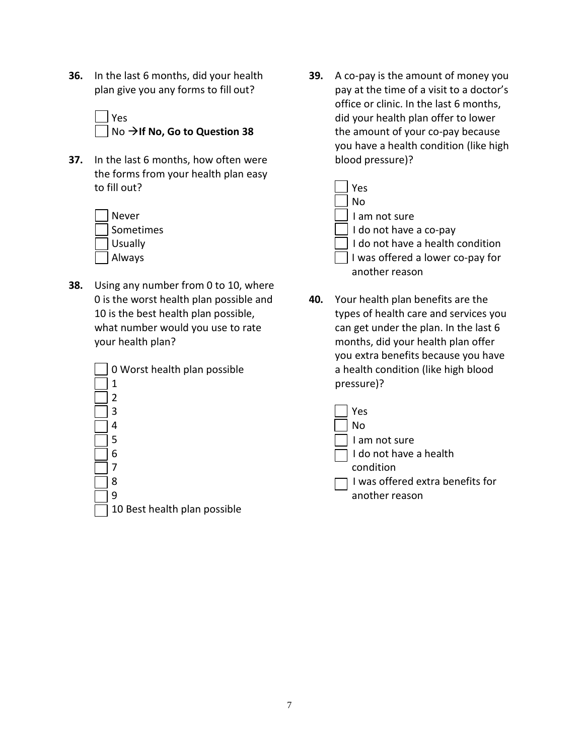- **36.** In the last 6 months, did your health plan give you any forms to fill out?
	- Yes
	- No  $\rightarrow$  If No, Go to Question 38
- **37.** In the last 6 months, how often were the forms from your health plan easy to fill out?

| Never     |
|-----------|
| Sometimes |
| Usually   |
| Always    |

**38.** Using any number from 0 to 10, where 0 is the worst health plan possible and 10 is the best health plan possible, what number would you use to rate your health plan?

| 0 Worst health plan possible |
|------------------------------|
| 1                            |
| 2                            |
| 3                            |
| 4                            |
| 5                            |
| 6                            |
| 7                            |
| 8                            |
| 9                            |
| 10 Best health plan possible |

**39.** A co-pay is the amount of money you pay at the time of a visit to a doctor's office or clinic. In the last 6 months, did your health plan offer to lower the amount of your co-pay because you have a health condition (like high blood pressure)?

| Yes                              |
|----------------------------------|
| N <sub>o</sub>                   |
| I am not sure                    |
| I do not have a co-pay           |
| I do not have a health condition |
| I was offered a lower co-pay for |
| another reason                   |

**40.** Your health plan benefits are the types of health care and services you can get under the plan. In the last 6 months, did your health plan offer you extra benefits because you have a health condition (like high blood pressure)?

| Yes                              |
|----------------------------------|
| No                               |
| I am not sure                    |
| $\Box$ I do not have a health    |
| condition                        |
| I was offered extra benefits for |
| another reason                   |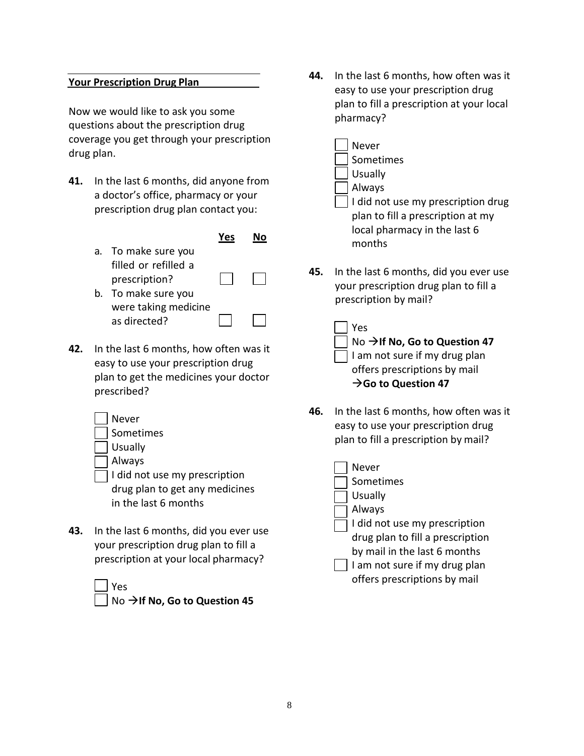### **Your Prescription Drug Plan**

Now we would like to ask you some questions about the prescription drug coverage you get through your prescription drug plan.

- **41.** In the last 6 months, did anyone from a doctor's office, pharmacy or your prescription drug plan contact you:
	- **Yes No** a. To make sure you filled or refilled a prescription? b. To make sure you were taking medicine
- **42.** In the last 6 months, how often was it easy to use your prescription drug plan to get the medicines your doctor prescribed?
	- Never Sometimes Usually

as directed?

- Always
- I did not use my prescription drug plan to get any medicines in the last 6 months
- **43.** In the last 6 months, did you ever use your prescription drug plan to fill a prescription at your local pharmacy?
	- Yes

No  $\rightarrow$  If No, Go to Question 45

- **44.** In the last 6 months, how often was it easy to use your prescription drug plan to fill a prescription at your local pharmacy?
	- Never Sometimes Usually Always I did not use my prescription drug plan to fill a prescription at my local pharmacy in the last 6
- **45.** In the last 6 months, did you ever use your prescription drug plan to fill a prescription by mail?

months

| $ $ Yes                                          |
|--------------------------------------------------|
| $\Box$ No $\rightarrow$ If No, Go to Question 47 |
| I am not sure if my drug plan                    |
| offers prescriptions by mail                     |
| $\rightarrow$ Go to Question 47                  |

- **46.** In the last 6 months, how often was it easy to use your prescription drug plan to fill a prescription by mail?
	- Never Sometimes Usually Always I did not use my prescription drug plan to fill a prescription by mail in the last 6 months  $\vert \ \vert$  I am not sure if my drug plan offers prescriptions by mail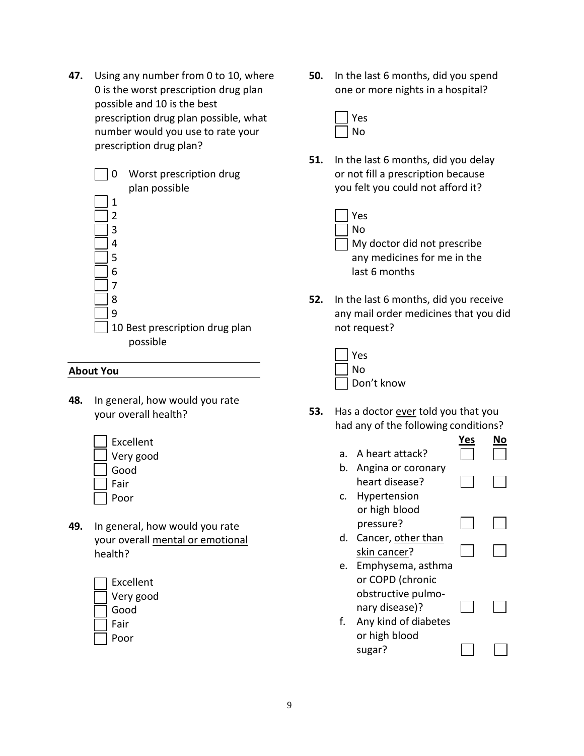**47.** Using any number from 0 to 10, where 0 is the worst prescription drug plan possible and 10 is the best prescription drug plan possible, what number would you use to rate your prescription drug plan?

| 0 | Worst prescription drug<br>plan possible |
|---|------------------------------------------|
|   |                                          |
| 1 |                                          |
| 2 |                                          |
| ੨ |                                          |
| 4 |                                          |
| 5 |                                          |
| 6 |                                          |
|   |                                          |
| 8 |                                          |
| ٩ |                                          |
|   | 10 Best prescription drug plan           |
|   | possible                                 |

#### **About You**

**48.** In general, how would you rate your overall health?



**49.** In general, how would you rate your overall mental or emotional health?

| Excellent |
|-----------|
| Very good |
| Good      |
| Fair      |
| Poor      |

**50.** In the last 6 months, did you spend one or more nights in a hospital?



- **51.** In the last 6 months, did you delay or not fill a prescription because you felt you could not afford it?
	- Yes No My doctor did not prescribe any medicines for me in the last 6 months
- **52.** In the last 6 months, did you receive any mail order medicines that you did not request?

| Yes        |
|------------|
| l No       |
| Don't know |

**53.** Has a doctor ever told you that you had any of the following conditions?

|    |                      | <b>Yes</b> |  |
|----|----------------------|------------|--|
| a. | A heart attack?      |            |  |
| b. | Angina or coronary   |            |  |
|    | heart disease?       |            |  |
| C. | Hypertension         |            |  |
|    | or high blood        |            |  |
|    | pressure?            |            |  |
| d. | Cancer, other than   |            |  |
|    | skin cancer?         |            |  |
| e. | Emphysema, asthma    |            |  |
|    | or COPD (chronic     |            |  |
|    | obstructive pulmo-   |            |  |
|    | nary disease)?       |            |  |
| f. | Any kind of diabetes |            |  |
|    | or high blood        |            |  |
|    | sugar?               |            |  |
|    |                      |            |  |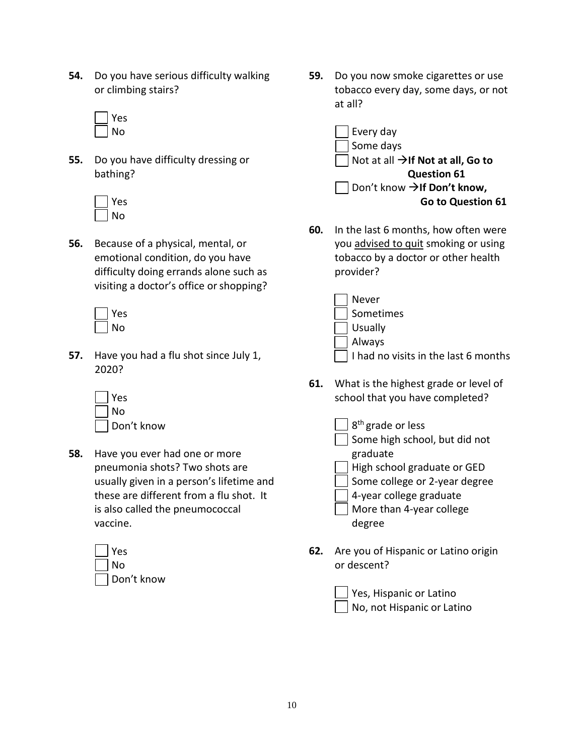- **54.** Do you have serious difficulty walking or climbing stairs?
	- Yes No
- **55.** Do you have difficulty dressing or bathing?

| r<br>÷<br>− |
|-------------|
| Ñ<br>רז     |

**56.** Because of a physical, mental, or emotional condition, do you have difficulty doing errands alone such as visiting a doctor's office or shopping?

| ۴<br>s<br>د؛ |
|--------------|
| N<br>n       |

**57.** Have you had a flu shot since July 1, 2020?

| Yes        |
|------------|
| Nο         |
| Don't know |

**58.** Have you ever had one or more pneumonia shots? Two shots are usually given in a person's lifetime and these are different from a flu shot. It is also called the pneumococcal vaccine.

| Yes        |
|------------|
| No         |
| Don't know |

**59.** Do you now smoke cigarettes or use tobacco every day, some days, or not at all?



**60.** In the last 6 months, how often were you advised to quit smoking or using tobacco by a doctor or other health provider?

| Never                                       |
|---------------------------------------------|
| Sometimes                                   |
| Usually                                     |
| $\Box$ Always                               |
| $\Box$ I had no visits in the last 6 months |

- **61.** What is the highest grade or level of school that you have completed?
	- 8<sup>th</sup> grade or less Some high school, but did not

graduate High school graduate or GED

- Some college or 2-year degree
- 4-year college graduate
- More than 4-year college degree
- **62.** Are you of Hispanic or Latino origin or descent?

| $\Box$ Yes, Hispanic or Latino |  |
|--------------------------------|--|
| No, not Hispanic or Latino     |  |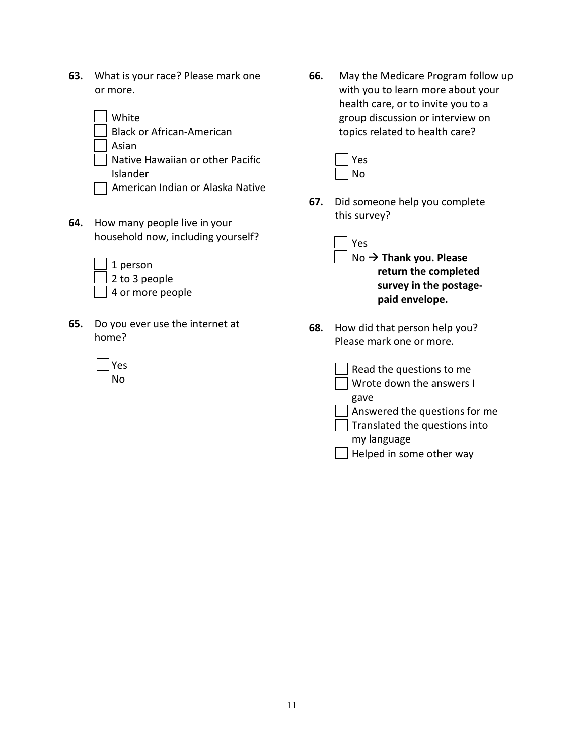**63.** What is your race? Please mark one or more.

| White                            |
|----------------------------------|
| <b>Black or African-American</b> |
| Asian                            |
| Native Hawaiian or other Pacific |
| Islander                         |
| American Indian or Alaska Native |

**64.** How many people live in your household now, including yourself?

| 1 person              |
|-----------------------|
| $\vert$ 2 to 3 people |
| 4 or more people      |

**65.** Do you ever use the internet at home?

| ۷<br>S<br>F |
|-------------|
| N<br>n      |

**66.** May the Medicare Program follow up with you to learn more about your health care, or to invite you to a group discussion or interview on topics related to health care?

**67.** Did someone help you complete this survey?

> Yes No **Thank you. Please return the completed survey in the postagepaid envelope.**

**68.** How did that person help you? Please mark one or more.

| Read the questions to me<br>Wrote down the answers I |
|------------------------------------------------------|
| gave                                                 |
| Answered the questions for me                        |
| Translated the questions into                        |
| my language                                          |
| Helped in some other way                             |